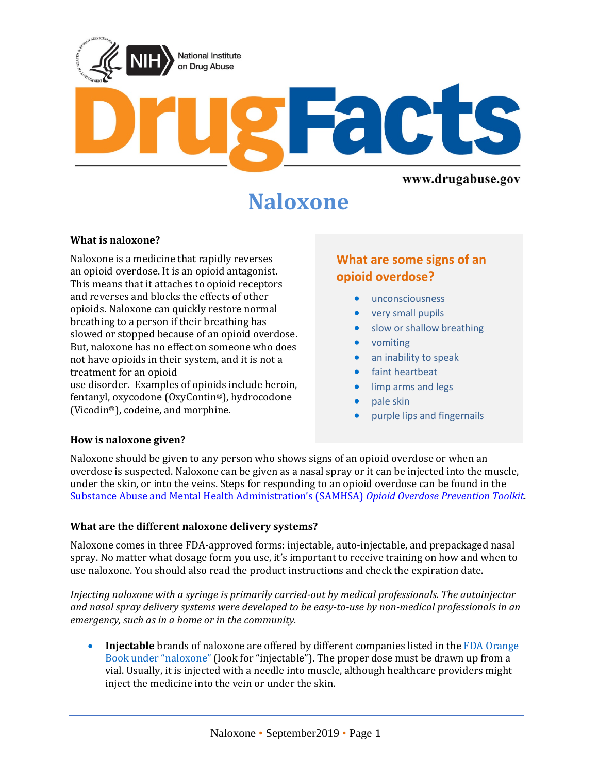

# **Naloxone**

#### **What is naloxone?**

Naloxone is a medicine that rapidly reverses an opioid overdose. It is an opioid antagonist. This means that it attaches to opioid receptors and reverses and blocks the effects of other opioids. Naloxone can quickly restore normal breathing to a person if their breathing has slowed or stopped because of an opioid overdose. But, naloxone has no effect on someone who does not have opioids in their system, and it is not a treatment for an opioid

use disorder. Examples of opioids include heroin, fentanyl, oxycodone (OxyContin®), hydrocodone (Vicodin®), codeine, and morphine.

# **What are some signs of an opioid overdose?**

- unconsciousness
- very small pupils
- slow or shallow breathing
- vomiting
- an inability to speak
- faint heartbeat
- limp arms and legs
- pale skin
- purple lips and fingernails

#### **How is naloxone given?**

Naloxone should be given to any person who shows signs of an opioid overdose or when an overdose is suspected. Naloxone can be given as a nasal spray or it can be injected into the muscle, under the skin, or into the veins. Steps for responding to an opioid overdose can be found in the [Substance Abuse and Mental Health Administration's \(SAMHSA\)](https://store.samhsa.gov/shin/content/SMA18-4742/SMA18-4742.pdf) *Opioid Overdose Prevention Toolkit*.

#### **What are the different naloxone delivery systems?**

Naloxone comes in three FDA-approved forms: injectable, auto-injectable, and prepackaged nasal spray. No matter what dosage form you use, it's important to receive training on how and when to use naloxone. You should also read the product instructions and check the expiration date.

*Injecting naloxone with a syringe is primarily carried-out by medical professionals. The autoinjector and nasal spray delivery systems were developed to be easy-to-use by non-medical professionals in an emergency, such as in a home or in the community.*

• **Injectable** brands of naloxone are offered by different companies listed in the FDA Orange [Book under "naloxone"](https://www.accessdata.fda.gov/scripts/cder/ob/index.cfm) (look for "injectable"). The proper dose must be drawn up from a vial. Usually, it is injected with a needle into muscle, although healthcare providers might inject the medicine into the vein or under the skin.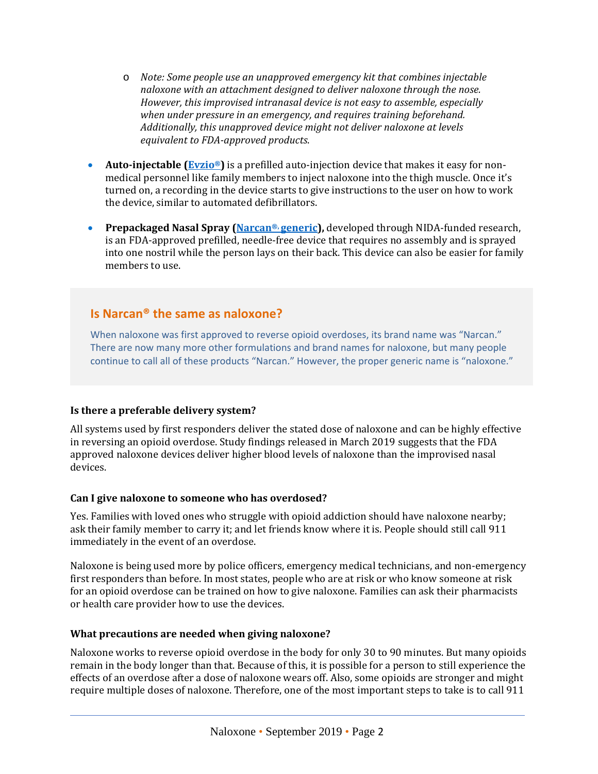- o *Note: Some people use an unapproved emergency kit that combines injectable naloxone with an attachment designed to deliver naloxone through the nose. However, this improvised intranasal device is not easy to assemble, especially when under pressure in an emergency, and requires training beforehand. Additionally, this unapproved device might not deliver naloxone at levels equivalent to FDA-approved products*.
- **Auto-injectable (Evzio<sup>®</sup>)** is a prefilled auto-injection device that makes it easy for nonmedical personnel like family members to inject naloxone into the thigh muscle. Once it's turned on, a recording in the device starts to give instructions to the user on how to work the device, similar to automated defibrillators.
- **Prepackaged Nasal Spray [\(Narcan®,](http://www.fda.gov/Drugs/DrugSafety/PostmarketDrugSafetyInformationforPatientsandProviders/ucm472958.htm) generic),** developed through NIDA-funded research, is an FDA-approved prefilled, needle-free device that requires no assembly and is sprayed into one nostril while the person lays on their back. This device can also be easier for family members to use.

# **Is Narcan® the same as naloxone?**

When naloxone was first approved to reverse opioid overdoses, its brand name was "Narcan." There are now many more other formulations and brand names for naloxone, but many people continue to call all of these products "Narcan." However, the proper generic name is "naloxone."

## **Is there a preferable delivery system?**

All systems used by first responders deliver the stated dose of naloxone and can be highly effective in reversing an opioid overdose. Study findings released in March 2019 suggests that the FDA approved naloxone devices deliver higher blood levels of naloxone than the improvised nasal devices.

#### **Can I give naloxone to someone who has overdosed?**

Yes. Families with loved ones who struggle with opioid addiction should have naloxone nearby; ask their family member to carry it; and let friends know where it is. People should still call 911 immediately in the event of an overdose.

Naloxone is being used more by police officers, emergency medical technicians, and non-emergency first responders than before. In most states, people who are at risk or who know someone at risk for an opioid overdose can be trained on how to give naloxone. Families can ask their pharmacists or health care provider how to use the devices.

## **What precautions are needed when giving naloxone?**

Naloxone works to reverse opioid overdose in the body for only 30 to 90 minutes. But many opioids remain in the body longer than that. Because of this, it is possible for a person to still experience the effects of an overdose after a dose of naloxone wears off. Also, some opioids are stronger and might require multiple doses of naloxone. Therefore, one of the most important steps to take is to call 911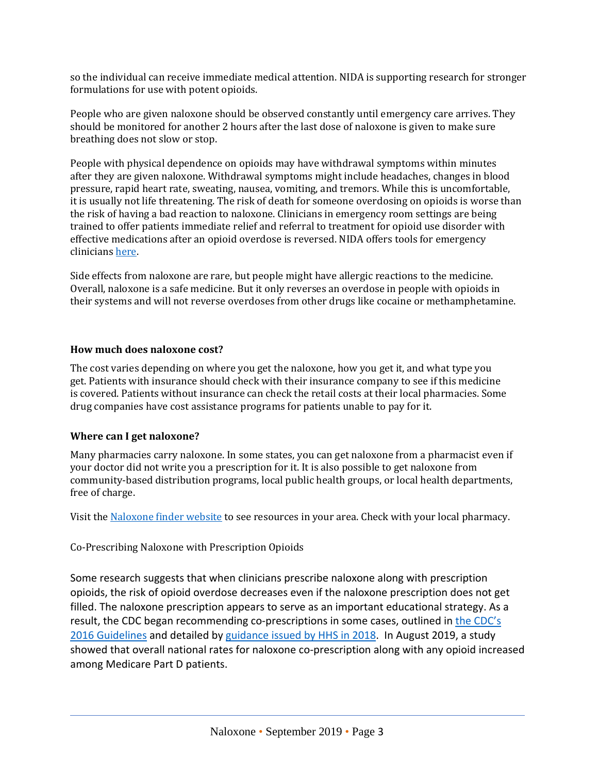so the individual can receive immediate medical attention. NIDA is supporting research for stronger formulations for use with potent opioids.

People who are given naloxone should be observed constantly until emergency care arrives. They should be monitored for another 2 hours after the last dose of naloxone is given to make sure breathing does not slow or stop.

People with physical dependence on opioids may have withdrawal symptoms within minutes after they are given naloxone. Withdrawal symptoms might include headaches, changes in blood pressure, rapid heart rate, sweating, nausea, vomiting, and tremors. While this is uncomfortable, it is usually not life threatening. The risk of death for someone overdosing on opioids is worse than the risk of having a bad reaction to naloxone. Clinicians in emergency room settings are being trained to offer patients immediate relief and referral to treatment for opioid use disorder with effective medications after an opioid overdose is reversed. NIDA offers tools for emergency clinician[s here.](https://www.drugabuse.gov/nidamed-medical-health-professionals/screening-tools-prevention)

Side effects from naloxone are rare, but people might have allergic reactions to the medicine. Overall, naloxone is a safe medicine. But it only reverses an overdose in people with opioids in their systems and will not reverse overdoses from other drugs like cocaine or methamphetamine.

#### **How much does naloxone cost?**

The cost varies depending on where you get the naloxone, how you get it, and what type you get. Patients with insurance should check with their insurance company to see if this medicine is covered. Patients without insurance can check the retail costs at their local pharmacies. Some drug companies have cost assistance programs for patients unable to pay for it.

#### **Where can I get naloxone?**

Many pharmacies carry naloxone. In some states, you can get naloxone from a pharmacist even if your doctor did not write you a prescription for it. It is also possible to get naloxone from community-based distribution programs, local public health groups, or local health departments, free of charge.

Visit the [Naloxone finder website](http://www.getnaloxonenow.org/find.html) to see resources in your area. Check with your local pharmacy.

#### Co-Prescribing Naloxone with Prescription Opioids

Some research suggests that when clinicians prescribe naloxone along with prescription opioids, the risk of opioid overdose decreases even if the naloxone prescription does not get filled. The naloxone prescription appears to serve as an important educational strategy. As a result, the CDC began recommending co-prescriptions in some cases, outlined in [the CDC's](https://www.cdc.gov/mmwr/volumes/65/rr/rr6501e1.htm)  [2016 Guidelines](https://www.cdc.gov/mmwr/volumes/65/rr/rr6501e1.htm) and detailed by [guidance issued by HHS in 2018.](https://www.hhs.gov/opioids/sites/default/files/2018-12/naloxone-coprescribing-guidance.pdf) In August 2019, a study showed that overall national rates for naloxone co-prescription along with any opioid increased among Medicare Part D patients.